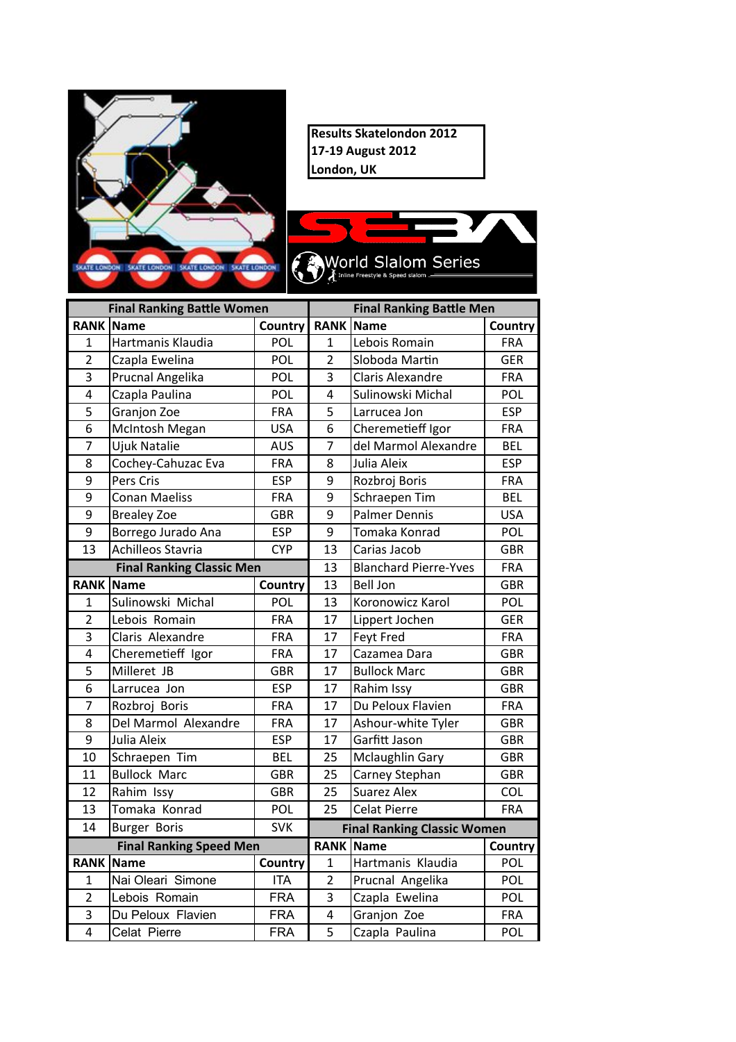

**Results Skatelondon 2012 17-19 August 2012** London, UK



| <b>Final Ranking Battle Women</b> |                          |                | <b>Final Ranking Battle Men</b> |                                    |            |  |
|-----------------------------------|--------------------------|----------------|---------------------------------|------------------------------------|------------|--|
|                                   | <b>RANK Name</b>         | <b>Country</b> |                                 | <b>RANK Name</b>                   | Country    |  |
| 1                                 | Hartmanis Klaudia        | POL            | $\mathbf{1}$                    | Lebois Romain                      | <b>FRA</b> |  |
| $\overline{2}$                    | Czapla Ewelina           | POL            | $\overline{2}$                  | Sloboda Martin                     | GER        |  |
| $\overline{3}$                    | Prucnal Angelika         | POL            | 3                               | Claris Alexandre                   | <b>FRA</b> |  |
| 4                                 | Czapla Paulina           | POL            | 4                               | Sulinowski Michal                  | POL        |  |
| 5                                 | Granjon Zoe              | <b>FRA</b>     | 5                               | Larrucea Jon                       | <b>ESP</b> |  |
| 6                                 | McIntosh Megan           | <b>USA</b>     | 6                               | Cheremetieff Igor                  | <b>FRA</b> |  |
| $\overline{7}$                    | <b>Ujuk Natalie</b>      | <b>AUS</b>     | 7                               | del Marmol Alexandre               | <b>BEL</b> |  |
| 8                                 | Cochey-Cahuzac Eva       | <b>FRA</b>     | 8                               | Julia Aleix                        | <b>ESP</b> |  |
| 9                                 | Pers Cris                | <b>ESP</b>     | 9                               | Rozbroj Boris                      | <b>FRA</b> |  |
| 9                                 | <b>Conan Maeliss</b>     | <b>FRA</b>     | 9                               | Schraepen Tim                      | <b>BEL</b> |  |
| 9                                 | <b>Brealey Zoe</b>       | <b>GBR</b>     | 9                               | <b>Palmer Dennis</b>               | <b>USA</b> |  |
| $\overline{9}$                    | Borrego Jurado Ana       | <b>ESP</b>     | 9                               | Tomaka Konrad                      | POL        |  |
| $\overline{13}$                   | <b>Achilleos Stavria</b> | <b>CYP</b>     | 13                              | Carias Jacob                       | <b>GBR</b> |  |
| <b>Final Ranking Classic Men</b>  |                          |                | 13                              | <b>Blanchard Pierre-Yves</b>       | <b>FRA</b> |  |
|                                   | <b>RANK Name</b>         | Country        | 13                              | <b>Bell Jon</b>                    | <b>GBR</b> |  |
| $\overline{1}$                    | Sulinowski Michal        | POL            | 13                              | Koronowicz Karol                   | POL        |  |
| $\overline{2}$                    | Lebois Romain            | <b>FRA</b>     | 17                              | Lippert Jochen                     | <b>GER</b> |  |
| 3                                 | Claris Alexandre         | <b>FRA</b>     | 17                              | <b>Feyt Fred</b>                   | <b>FRA</b> |  |
| 4                                 | Cheremetieff Igor        | <b>FRA</b>     | 17                              | Cazamea Dara                       | <b>GBR</b> |  |
| 5                                 | Milleret JB              | <b>GBR</b>     | 17                              | <b>Bullock Marc</b>                | <b>GBR</b> |  |
| 6                                 | Larrucea Jon             | <b>ESP</b>     | 17                              | Rahim Issy                         | <b>GBR</b> |  |
| $\overline{7}$                    | Rozbroj Boris            | <b>FRA</b>     | 17                              | Du Peloux Flavien                  | <b>FRA</b> |  |
| 8                                 | Del Marmol Alexandre     | <b>FRA</b>     | 17                              | Ashour-white Tyler                 | <b>GBR</b> |  |
| 9                                 | Julia Aleix              | <b>ESP</b>     | 17                              | Garfitt Jason                      | <b>GBR</b> |  |
| 10                                | Schraepen Tim            | <b>BEL</b>     | 25                              | <b>Mclaughlin Gary</b>             | GBR        |  |
| 11                                | <b>Bullock Marc</b>      | <b>GBR</b>     | 25                              | Carney Stephan                     | <b>GBR</b> |  |
| 12                                | Rahim Issy               | <b>GBR</b>     | 25                              | <b>Suarez Alex</b>                 | COL        |  |
| 13                                | Tomaka Konrad            | POL            | 25                              | <b>Celat Pierre</b>                | <b>FRA</b> |  |
| 14                                | <b>Burger Boris</b>      | <b>SVK</b>     |                                 | <b>Final Ranking Classic Women</b> |            |  |
| <b>Final Ranking Speed Men</b>    |                          |                |                                 | <b>RANK Name</b>                   | Country    |  |
|                                   | <b>RANK Name</b>         | Country        | $\mathbf{1}$                    | Hartmanis Klaudia                  | POL        |  |
| $\overline{1}$                    | Nai Oleari Simone        | <b>ITA</b>     | $\overline{2}$                  | Prucnal Angelika                   | POL        |  |
| $\overline{2}$                    | Lebois Romain            | <b>FRA</b>     | 3                               | Czapla Ewelina                     | POL        |  |
| $\overline{3}$                    | Du Peloux Flavien        | <b>FRA</b>     | $\overline{4}$                  | Granjon Zoe                        | <b>FRA</b> |  |
| $\overline{4}$                    | Celat Pierre             | <b>FRA</b>     | $\overline{5}$                  | Czapla Paulina                     | POL        |  |